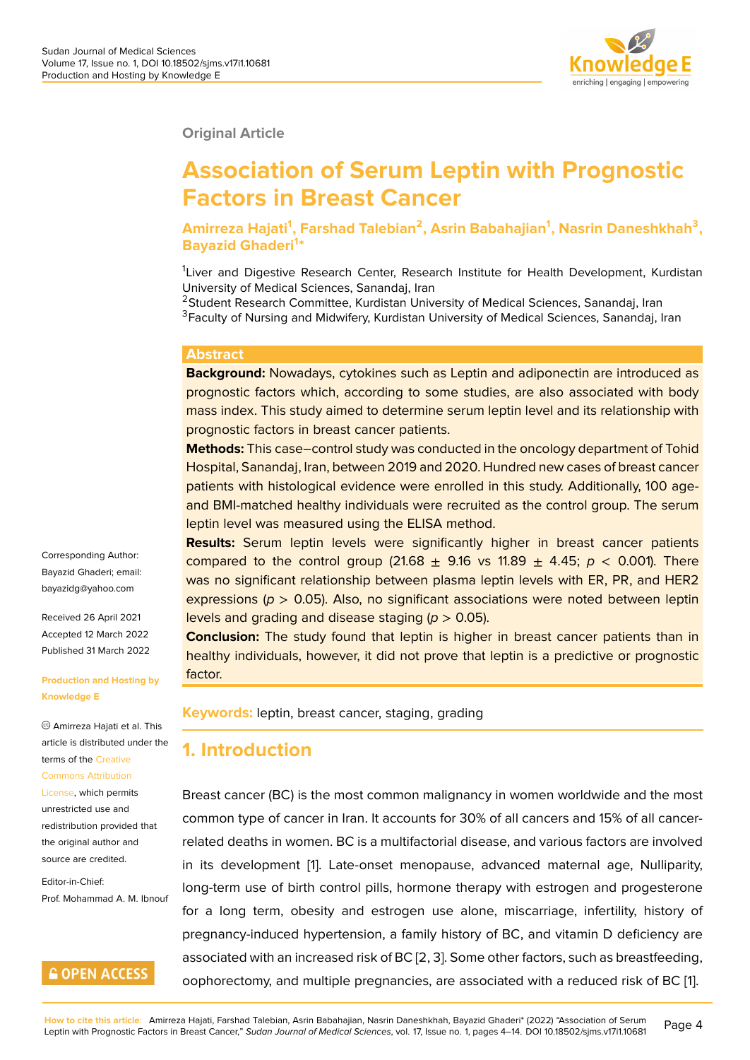#### **Original Article**

# **Association of Serum Leptin with Prognostic Factors in Breast Cancer**

**Amirreza Hajati<sup>1</sup> , Farshad Talebian<sup>2</sup> , Asrin Babahajian<sup>1</sup> , Nasrin Daneshkhah<sup>3</sup> , Bayazid Ghaderi<sup>1</sup> \***

<sup>1</sup>Liver and Digestive Research Center, Research Institute for Health Development, Kurdistan University of Medical Sciences, Sanandaj, Iran

<sup>2</sup>Student Research Committee, Kurdistan University of Medical Sciences, Sanandaj, Iran <sup>3</sup>Faculty of Nursing and Midwifery, Kurdistan University of Medical Sciences, Sanandaj, Iran

#### **Abstract**

**Background:** Nowadays, cytokines such as Leptin and adiponectin are introduced as prognostic factors which, according to some studies, are also associated with body mass index. This study aimed to determine serum leptin level and its relationship with prognostic factors in breast cancer patients.

**Methods:** This case–control study was conducted in the oncology department of Tohid Hospital, Sanandaj, Iran, between 2019 and 2020. Hundred new cases of breast cancer patients with histological evidence were enrolled in this study. Additionally, 100 ageand BMI-matched healthy individuals were recruited as the control group. The serum leptin level was measured using the ELISA method.

**Results:** Serum leptin levels were significantly higher in breast cancer patients compared to the control group (21.68  $\pm$  9.16 vs 11.89  $\pm$  4.45;  $p < 0.001$ ). There was no significant relationship between plasma leptin levels with ER, PR, and HER2 expressions ( $p > 0.05$ ). Also, no significant associations were noted between leptin levels and grading and disease staging (*p* > 0.05).

**Conclusion:** The study found that leptin is higher in breast cancer patients than in healthy individuals, however, it did not prove that leptin is a predictive or prognostic factor.

**Keywords:** leptin, breast cancer, staging, grading

### **1. Introduction**

Breast cancer (BC) is the most common malignancy in women worldwide and the most common type of cancer in Iran. It accounts for 30% of all cancers and 15% of all cancerrelated deaths in women. BC is a multifactorial disease, and various factors are involved in its development [1]. Late-onset menopause, advanced maternal age, Nulliparity, long-term use of birth control pills, hormone therapy with estrogen and progesterone for a long term, obesity and estrogen use alone, miscarriage, infertility, history of pregnancy-induced [hy](#page-7-0)pertension, a family history of BC, and vitamin D deficiency are associated with an increased risk of BC [2, 3]. Some other factors, such as breastfeeding, oophorectomy, and multiple pregnancies, are associated with a reduced risk of BC [1].

Corresponding Author: Bayazid Ghaderi; email: bayazidg@yahoo.com

Received 26 April 2021 Accepted 12 March 2022 [Published 31 March 20](mailto:bayazidg@yahoo.com)22

#### **Production and Hosting by Knowledge E**

Amirreza Hajati et al. This article is distributed under the terms of the Creative

#### Commons Attribution

License, which permits unrestricted use and redistributio[n provide](https://creativecommons.org/licenses/by/4.0/)d that [the original author an](https://creativecommons.org/licenses/by/4.0/)d [source a](https://creativecommons.org/licenses/by/4.0/)re credited.

Editor-in-Chief: Prof. Mohammad A. M. Ibnouf

#### **GOPEN ACCESS**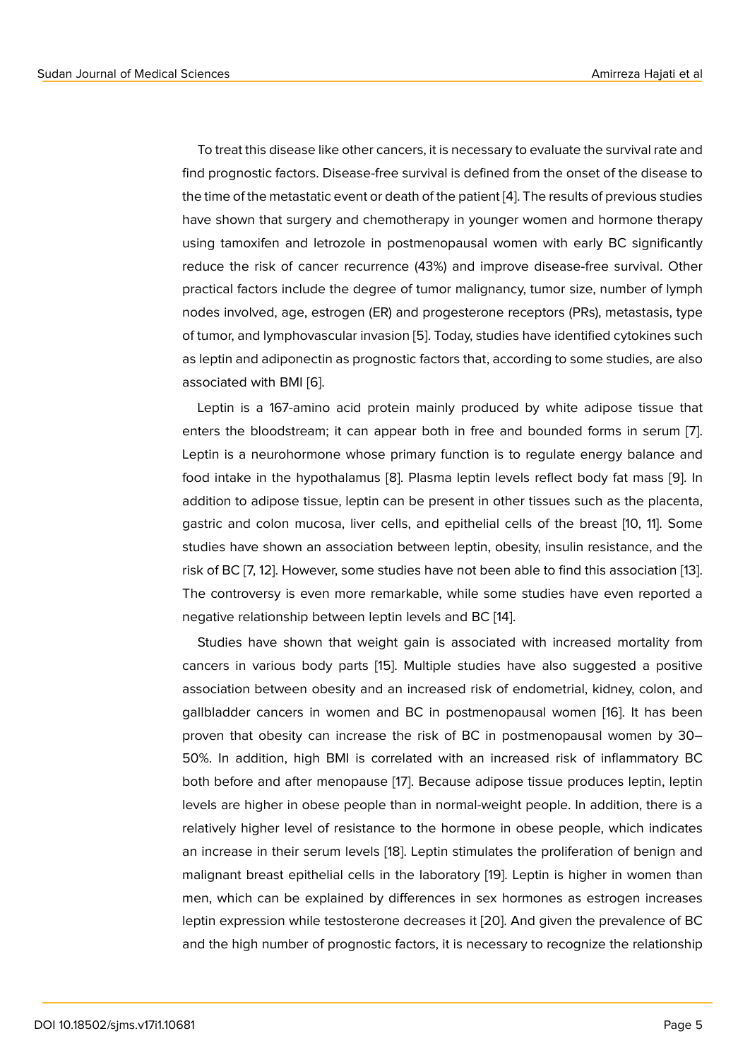To treat this disease like other cancers, it is necessary to evaluate the survival rate and find prognostic factors. Disease-free survival is defined from the onset of the disease to the time of the metastatic event or death of the patient [4]. The results of previous studies have shown that surgery and chemotherapy in younger women and hormone therapy using tamoxifen and letrozole in postmenopausal women with early BC significantly reduce the risk of cancer recurrence (43%) and imp[ro](#page-7-1)ve disease-free survival. Other practical factors include the degree of tumor malignancy, tumor size, number of lymph nodes involved, age, estrogen (ER) and progesterone receptors (PRs), metastasis, type of tumor, and lymphovascular invasion [5]. Today, studies have identified cytokines such as leptin and adiponectin as prognostic factors that, according to some studies, are also associated with BMI [6].

Leptin is a 167-amino acid protein [m](#page-7-2)ainly produced by white adipose tissue that enters the bloodstream; it can appear both in free and bounded forms in serum [7]. Leptin is a neurohor[mo](#page-7-3)ne whose primary function is to regulate energy balance and food intake in the hypothalamus [8]. Plasma leptin levels reflect body fat mass [9]. In addition to adipose tissue, leptin can be present in other tissues such as the placen[ta](#page-7-4), gastric and colon mucosa, liver cells, and epithelial cells of the breast [10, 11]. Some studies have shown an associatio[n](#page-7-5) between leptin, obesity, insulin resistance, an[d](#page-7-6) the risk of BC [7, 12]. However, some studies have not been able to find this association [13]. The controversy is even more remarkable, while some studies have even reported a negative relationship between leptin levels and BC [14].

Studies have shown that weight gain is associated with increased mortality f[rom](#page-8-0) cancers in various body parts [15]. Multiple studies have also suggested a positive association between obesity and an increased risk [of](#page-8-1) endometrial, kidney, colon, and gallbladder cancers in women and BC in postmenopausal women [16]. It has been proven that obesity can increa[se](#page-8-2) the risk of BC in postmenopausal women by 30– 50%. In addition, high BMI is correlated with an increased risk of inflammatory BC both before and after menopause [17]. Because adipose tissue produ[ces](#page-8-3) leptin, leptin levels are higher in obese people than in normal-weight people. In addition, there is a relatively higher level of resistance to the hormone in obese people, which indicates an increase in their serum levels [1[8\].](#page-8-4) Leptin stimulates the proliferation of benign and malignant breast epithelial cells in the laboratory [19]. Leptin is higher in women than men, which can be explained by differences in sex hormones as estrogen increases leptin expression while testostero[ne](#page-8-5) decreases it [20]. And given the prevalence of BC and the high number of prognostic factors, it is ne[ces](#page-8-6)sary to recognize the relationship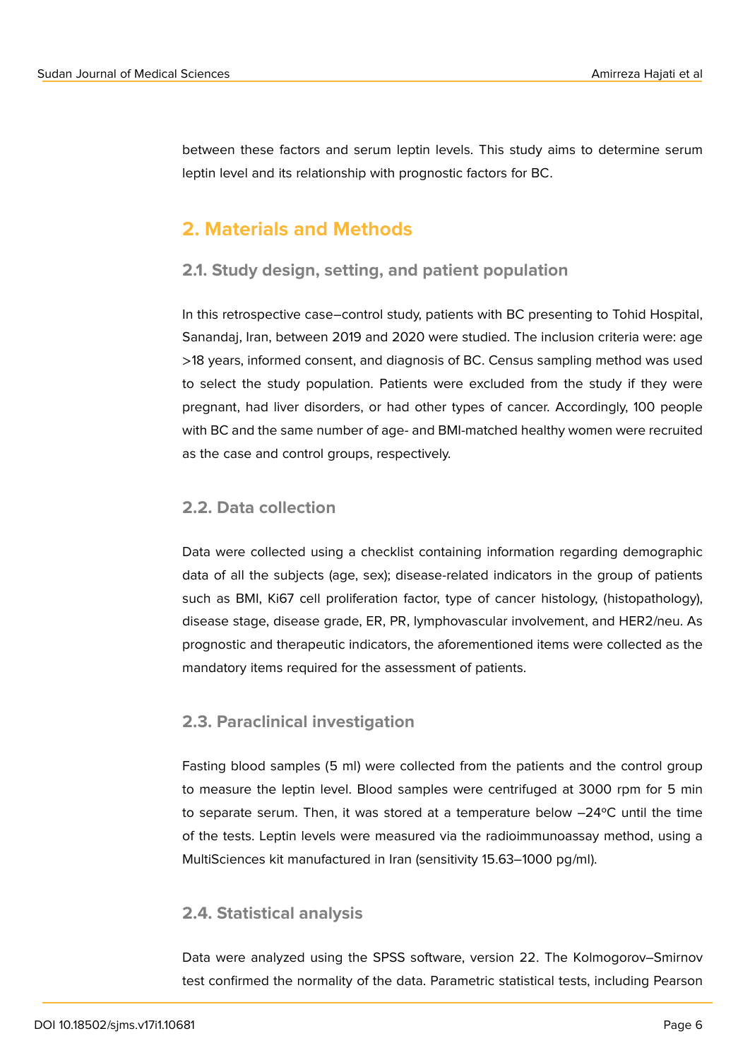between these factors and serum leptin levels. This study aims to determine serum leptin level and its relationship with prognostic factors for BC.

# **2. Materials and Methods**

### **2.1. Study design, setting, and patient population**

In this retrospective case–control study, patients with BC presenting to Tohid Hospital, Sanandaj, Iran, between 2019 and 2020 were studied. The inclusion criteria were: age >18 years, informed consent, and diagnosis of BC. Census sampling method was used to select the study population. Patients were excluded from the study if they were pregnant, had liver disorders, or had other types of cancer. Accordingly, 100 people with BC and the same number of age- and BMI-matched healthy women were recruited as the case and control groups, respectively.

### **2.2. Data collection**

Data were collected using a checklist containing information regarding demographic data of all the subjects (age, sex); disease-related indicators in the group of patients such as BMI, Ki67 cell proliferation factor, type of cancer histology, (histopathology), disease stage, disease grade, ER, PR, lymphovascular involvement, and HER2/neu. As prognostic and therapeutic indicators, the aforementioned items were collected as the mandatory items required for the assessment of patients.

### **2.3. Paraclinical investigation**

Fasting blood samples (5 ml) were collected from the patients and the control group to measure the leptin level. Blood samples were centrifuged at 3000 rpm for 5 min to separate serum. Then, it was stored at a temperature below –24ºC until the time of the tests. Leptin levels were measured via the radioimmunoassay method, using a MultiSciences kit manufactured in Iran (sensitivity 15.63–1000 pg/ml).

#### **2.4. Statistical analysis**

Data were analyzed using the SPSS software, version 22. The Kolmogorov–Smirnov test confirmed the normality of the data. Parametric statistical tests, including Pearson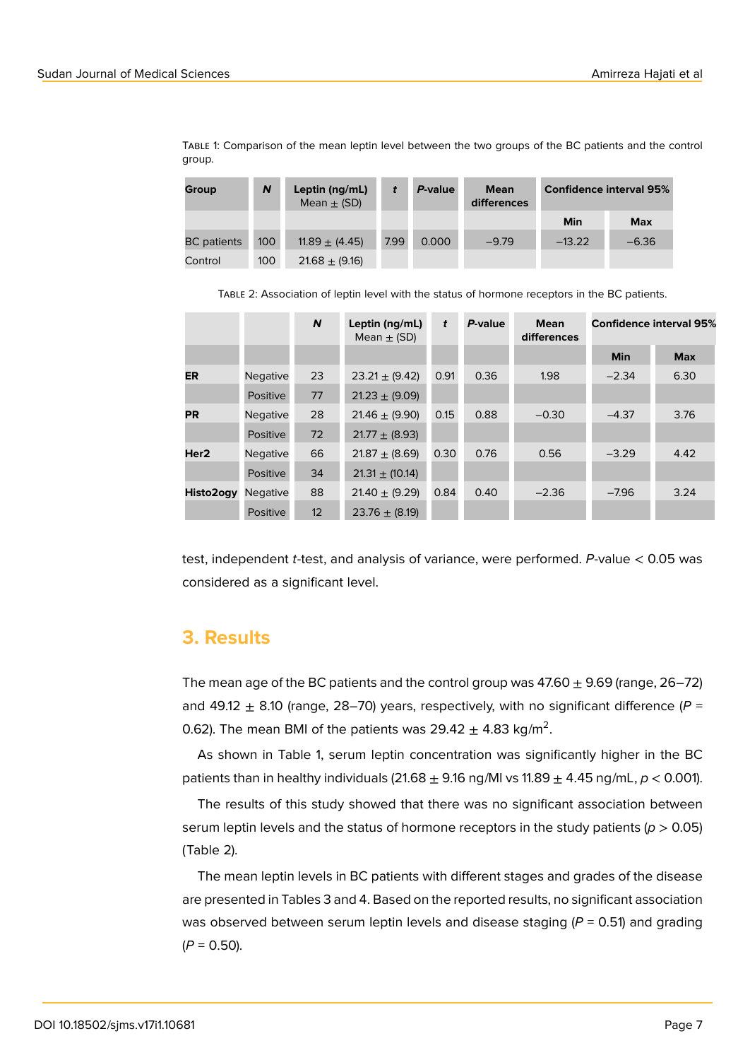Table 1: Comparison of the mean leptin level between the two groups of the BC patients and the control group.

| <b>Group</b>       | N   | Leptin (ng/mL)<br>Mean $\pm$ (SD) |      | P-value | <b>Mean</b><br>differences | <b>Confidence interval 95%</b> |            |
|--------------------|-----|-----------------------------------|------|---------|----------------------------|--------------------------------|------------|
|                    |     |                                   |      |         |                            | Min                            | <b>Max</b> |
| <b>BC</b> patients | 100 | 11.89 $\pm$ (4.45)                | 7.99 | 0.000   | $-9.79$                    | $-13.22$                       | $-6.36$    |
| Control            | 100 | $21.68 \pm (9.16)$                |      |         |                            |                                |            |

Table 2: Association of leptin level with the status of hormone receptors in the BC patients.

|                  |                 | N  | Leptin $(ng/mL)$<br>Mean $\pm$ (SD) | t    | P-value | <b>Mean</b><br>differences |            | <b>Confidence interval 95%</b> |
|------------------|-----------------|----|-------------------------------------|------|---------|----------------------------|------------|--------------------------------|
|                  |                 |    |                                     |      |         |                            | <b>Min</b> | <b>Max</b>                     |
| <b>ER</b>        | <b>Negative</b> | 23 | $23.21 \pm (9.42)$                  | 0.91 | 0.36    | 1.98                       | $-2.34$    | 6.30                           |
|                  | Positive        | 77 | $21.23 \pm (9.09)$                  |      |         |                            |            |                                |
| <b>PR</b>        | <b>Negative</b> | 28 | $21.46 \pm (9.90)$                  | 0.15 | 0.88    | $-0.30$                    | $-4.37$    | 3.76                           |
|                  | Positive        | 72 | $21.77 \pm (8.93)$                  |      |         |                            |            |                                |
| Her <sub>2</sub> | <b>Negative</b> | 66 | $21.87 \pm (8.69)$                  | 0.30 | 0.76    | 0.56                       | $-3.29$    | 4.42                           |
|                  | Positive        | 34 | $21.31 \pm (10.14)$                 |      |         |                            |            |                                |
| Histo2ogy        | <b>Negative</b> | 88 | $21.40 \pm (9.29)$                  | 0.84 | 0.40    | $-2.36$                    | $-7.96$    | 3.24                           |
|                  | Positive        | 12 | $23.76 \pm (8.19)$                  |      |         |                            |            |                                |

test, independent *t*-test, and analysis of variance, were performed. *P*-value < 0.05 was considered as a significant level.

### **3. Results**

The mean age of the BC patients and the control group was  $47.60 \pm 9.69$  (range,  $26-72$ ) and 49.12  $\pm$  8.10 (range, 28–70) years, respectively, with no significant difference ( $P =$ 0.62). The mean BMI of the patients was 29.42  $\pm$  4.83 kg/m<sup>2</sup>.

As shown in Table 1, serum leptin concentration was significantly higher in the BC patients than in healthy individuals  $(21.68 \pm 9.16 \text{ ng/Ml vs } 11.89 \pm 4.45 \text{ ng/ml}, p < 0.001)$ .

The results of this study showed that there was no significant association between serum leptin levels and the status of hormone receptors in the study patients (*p* > 0.05) (Table 2).

The mean leptin levels in BC patients with different stages and grades of the disease are presented in Tables 3 and 4. Based on the reported results, no significant association was observed between serum leptin levels and disease staging (*P* = 0.51) and grading  $(P = 0.50)$ .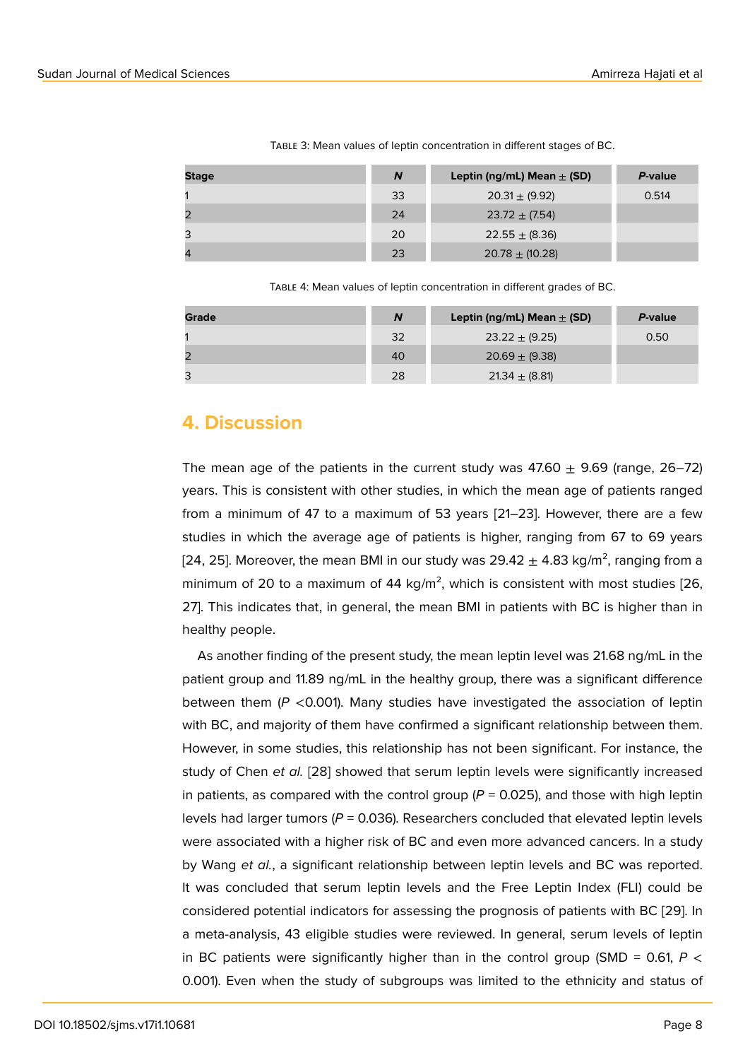|  | TABLE 3: Mean values of leptin concentration in different stages of BC. |  |
|--|-------------------------------------------------------------------------|--|
|  |                                                                         |  |

| <b>Stage</b>   | N  | Leptin (ng/mL) Mean $\pm$ (SD) | P-value |
|----------------|----|--------------------------------|---------|
|                | 33 | $20.31 \pm (9.92)$             | 0.514   |
| $\overline{2}$ | 24 | $23.72 \pm (7.54)$             |         |
| 3              | 20 | $22.55 \pm (8.36)$             |         |
| $\overline{4}$ | 23 | $20.78 \pm (10.28)$            |         |

Table 4: Mean values of leptin concentration in different grades of BC.

| Grade | N  | Leptin (ng/mL) Mean $\pm$ (SD) | P-value |
|-------|----|--------------------------------|---------|
|       | 32 | $23.22 \pm (9.25)$             | 0.50    |
| 2     | 40 | $20.69 \pm (9.38)$             |         |
| 3     | 28 | $21.34 \pm (8.81)$             |         |

# **4. Discussion**

The mean age of the patients in the current study was  $47.60 \pm 9.69$  (range,  $26-72$ ) years. This is consistent with other studies, in which the mean age of patients ranged from a minimum of 47 to a maximum of 53 years [21–23]. However, there are a few studies in which the average age of patients is higher, ranging from 67 to 69 years [24, 25]. Moreover, the mean BMI in our study was  $29.42 \pm 4.83$  kg/m<sup>2</sup>, ranging from a minimum of 20 to a maximum of 44 kg/m<sup>2</sup>, which is consistent with most studies [26, 27]. This indicates that, in general, the mean BMI in patients with BC is higher than in healthy people.

As another finding of the present study, the mean leptin level was 21.68 ng/mL in the patient group and 11.89 ng/mL in the healthy group, there was a significant difference between them (*P* <0.001). Many studies have investigated the association of leptin with BC, and majority of them have confirmed a significant relationship between them. However, in some studies, this relationship has not been significant. For instance, the study of Chen *et al.* [28] showed that serum leptin levels were significantly increased in patients, as compared with the control group  $(P = 0.025)$ , and those with high leptin levels had larger tumors ( $P = 0.036$ ). Researchers concluded that elevated leptin levels were associated with [a h](#page-9-0)igher risk of BC and even more advanced cancers. In a study by Wang *et al.*, a significant relationship between leptin levels and BC was reported. It was concluded that serum leptin levels and the Free Leptin Index (FLI) could be considered potential indicators for assessing the prognosis of patients with BC [29]. In a meta-analysis, 43 eligible studies were reviewed. In general, serum levels of leptin in BC patients were significantly higher than in the control group (SMD =  $0.61$ ,  $P \lt$ 0.001). Even when the study of subgroups was limited to the ethnicity and st[atus](#page-9-1) of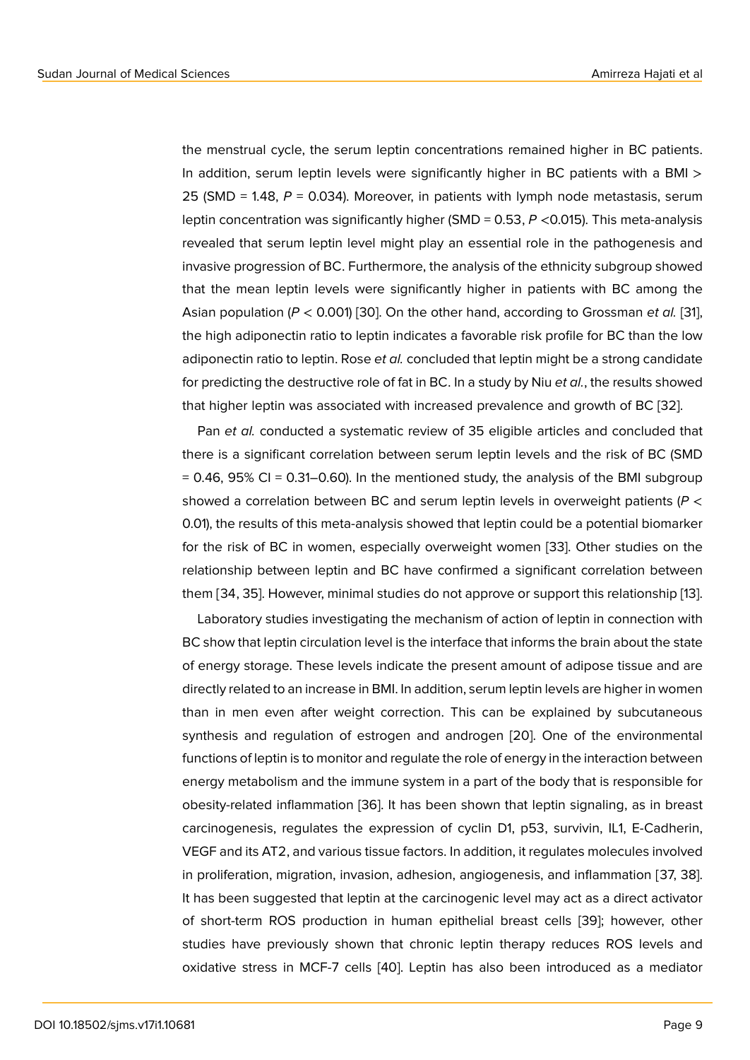the menstrual cycle, the serum leptin concentrations remained higher in BC patients. In addition, serum leptin levels were significantly higher in BC patients with a BMI > 25 (SMD = 1.48, *P* = 0.034). Moreover, in patients with lymph node metastasis, serum leptin concentration was significantly higher (SMD = 0.53, *P* <0.015). This meta-analysis revealed that serum leptin level might play an essential role in the pathogenesis and invasive progression of BC. Furthermore, the analysis of the ethnicity subgroup showed that the mean leptin levels were significantly higher in patients with BC among the Asian population (*P* < 0.001) [30]. On the other hand, according to Grossman *et al.* [31], the high adiponectin ratio to leptin indicates a favorable risk profile for BC than the low adiponectin ratio to leptin. Rose *et al.* concluded that leptin might be a strong candidate for predicting the destructive [role](#page-9-2) of fat in BC. In a study by Niu *et al.*, the results sho[wed](#page-9-3) that higher leptin was associated with increased prevalence and growth of BC [32].

Pan *et al.* conducted a systematic review of 35 eligible articles and concluded that there is a significant correlation between serum leptin levels and the risk of BC (SMD  $= 0.46$ , 95% CI  $= 0.31 - 0.60$ ). In the mentioned study, the analysis of the BMI su[bgr](#page-9-4)oup showed a correlation between BC and serum leptin levels in overweight patients (*P* < 0.01), the results of this meta-analysis showed that leptin could be a potential biomarker for the risk of BC in women, especially overweight women [33]. Other studies on the relationship between leptin and BC have confirmed a significant correlation between them [34, 35]. However, minimal studies do not approve or support this relationship [13].

Laboratory studies investigating the mechanism of action [of le](#page-9-5)ptin in connection with BC show that leptin circulation level is the interface that informs the brain about the state of energy storage. These levels indicate the present amount of adipose tissue and [are](#page-8-0) directly related to an increase in BMI. In addition, serum leptin levels are higher in women than in men even after weight correction. This can be explained by subcutaneous synthesis and regulation of estrogen and androgen [20]. One of the environmental functions of leptin is to monitor and regulate the role of energy in the interaction between energy metabolism and the immune system in a part of the body that is responsible for obesity-related inflammation [36]. It has been shown t[hat](#page-8-7) leptin signaling, as in breast carcinogenesis, regulates the expression of cyclin D1, p53, survivin, IL1, E-Cadherin, VEGF and its AT2, and various tissue factors. In addition, it regulates molecules involved in proliferation, migration, inv[asio](#page-10-0)n, adhesion, angiogenesis, and inflammation [37, 38]. It has been suggested that leptin at the carcinogenic level may act as a direct activator of short-term ROS production in human epithelial breast cells [39]; however, other studies have previously shown that chronic leptin therapy reduces ROS levels and oxidative stress in MCF-7 cells [40]. Leptin has also been introduced as a mediator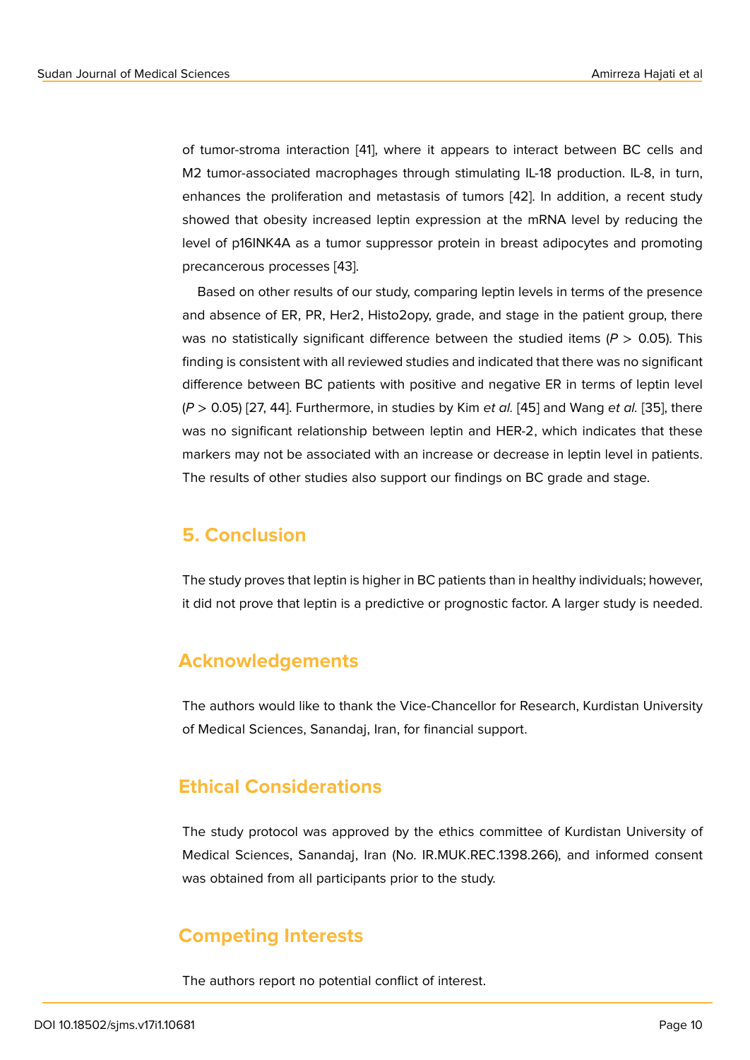of tumor-stroma interaction [41], where it appears to interact between BC cells and M2 tumor-associated macrophages through stimulating IL-18 production. IL-8, in turn, enhances the proliferation and metastasis of tumors [42]. In addition, a recent study showed that obesity increas[ed](#page-10-1) leptin expression at the mRNA level by reducing the level of p16INK4A as a tumor suppressor protein in breast adipocytes and promoting precancerous processes [43].

Based on other results of our study, comparing leptin levels in terms of the presence and absence of ER, PR, Her2, Histo2opy, grade, and stage in the patient group, there was no statistically signi[fica](#page-10-2)nt difference between the studied items ( $P > 0.05$ ). This finding is consistent with all reviewed studies and indicated that there was no significant difference between BC patients with positive and negative ER in terms of leptin level (*P* > 0.05) [27, 44]. Furthermore, in studies by Kim *et al.* [45] and Wang *et al.* [35], there was no significant relationship between leptin and HER-2, which indicates that these markers may not be associated with an increase or decrease in leptin level in patients. The results of other studies also support our findings o[n BC](#page-10-3) grade and stag[e.](#page-10-4)

### **5. Conclusion**

The study proves that leptin is higher in BC patients than in healthy individuals; however, it did not prove that leptin is a predictive or prognostic factor. A larger study is needed.

# **Acknowledgements**

The authors would like to thank the Vice-Chancellor for Research, Kurdistan University of Medical Sciences, Sanandaj, Iran, for financial support.

# **Ethical Considerations**

The study protocol was approved by the ethics committee of Kurdistan University of Medical Sciences, Sanandaj, Iran (No. IR.MUK.REC.1398.266), and informed consent was obtained from all participants prior to the study.

# **Competing Interests**

The authors report no potential conflict of interest.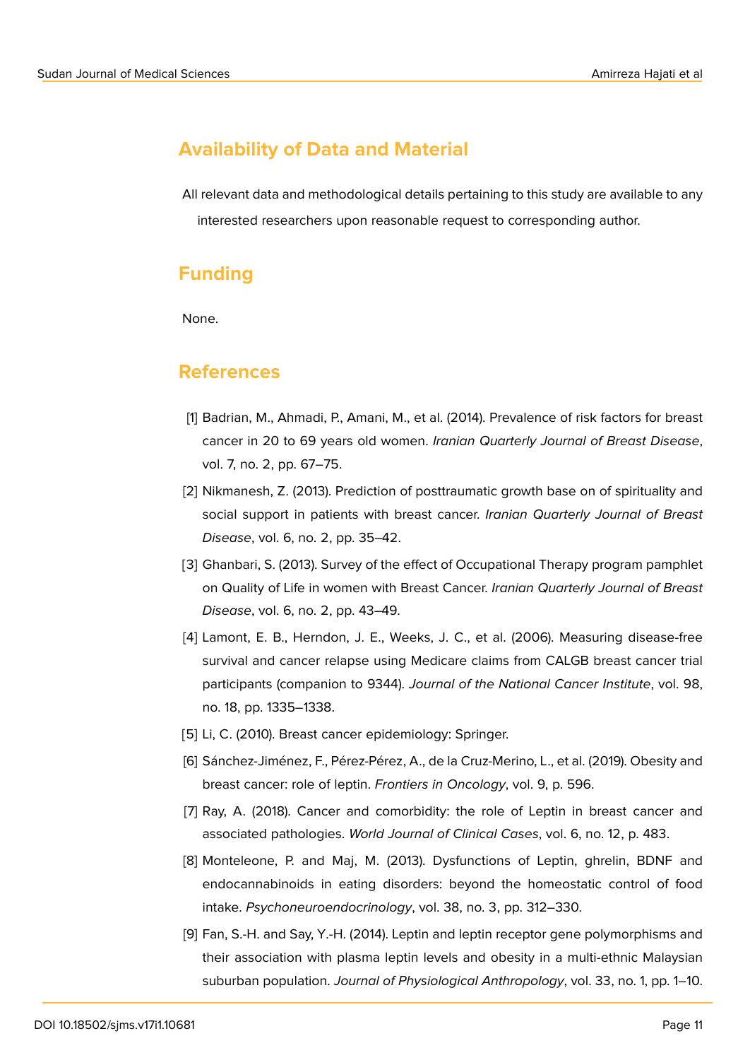# **Availability of Data and Material**

All relevant data and methodological details pertaining to this study are available to any interested researchers upon reasonable request to corresponding author.

# **Funding**

None.

### **References**

- <span id="page-7-0"></span>[1] Badrian, M., Ahmadi, P., Amani, M., et al. (2014). Prevalence of risk factors for breast cancer in 20 to 69 years old women. *Iranian Quarterly Journal of Breast Disease*, vol. 7, no. 2, pp. 67–75.
- [2] Nikmanesh, Z. (2013). Prediction of posttraumatic growth base on of spirituality and social support in patients with breast cancer. *Iranian Quarterly Journal of Breast Disease*, vol. 6, no. 2, pp. 35–42.
- [3] Ghanbari, S. (2013). Survey of the effect of Occupational Therapy program pamphlet on Quality of Life in women with Breast Cancer. *Iranian Quarterly Journal of Breast Disease*, vol. 6, no. 2, pp. 43–49.
- <span id="page-7-1"></span>[4] Lamont, E. B., Herndon, J. E., Weeks, J. C., et al. (2006). Measuring disease-free survival and cancer relapse using Medicare claims from CALGB breast cancer trial participants (companion to 9344). *Journal of the National Cancer Institute*, vol. 98, no. 18, pp. 1335–1338.
- <span id="page-7-2"></span>[5] Li, C. (2010). Breast cancer epidemiology: Springer.
- <span id="page-7-3"></span>[6] Sánchez-Jiménez, F., Pérez-Pérez, A., de la Cruz-Merino, L., et al. (2019). Obesity and breast cancer: role of leptin. *Frontiers in Oncology*, vol. 9, p. 596.
- <span id="page-7-4"></span>[7] Ray, A. (2018). Cancer and comorbidity: the role of Leptin in breast cancer and associated pathologies. *World Journal of Clinical Cases*, vol. 6, no. 12, p. 483.
- <span id="page-7-5"></span>[8] Monteleone, P. and Maj, M. (2013). Dysfunctions of Leptin, ghrelin, BDNF and endocannabinoids in eating disorders: beyond the homeostatic control of food intake. *Psychoneuroendocrinology*, vol. 38, no. 3, pp. 312–330.
- <span id="page-7-6"></span>[9] Fan, S.-H. and Say, Y.-H. (2014). Leptin and leptin receptor gene polymorphisms and their association with plasma leptin levels and obesity in a multi-ethnic Malaysian suburban population. *Journal of Physiological Anthropology*, vol. 33, no. 1, pp. 1–10.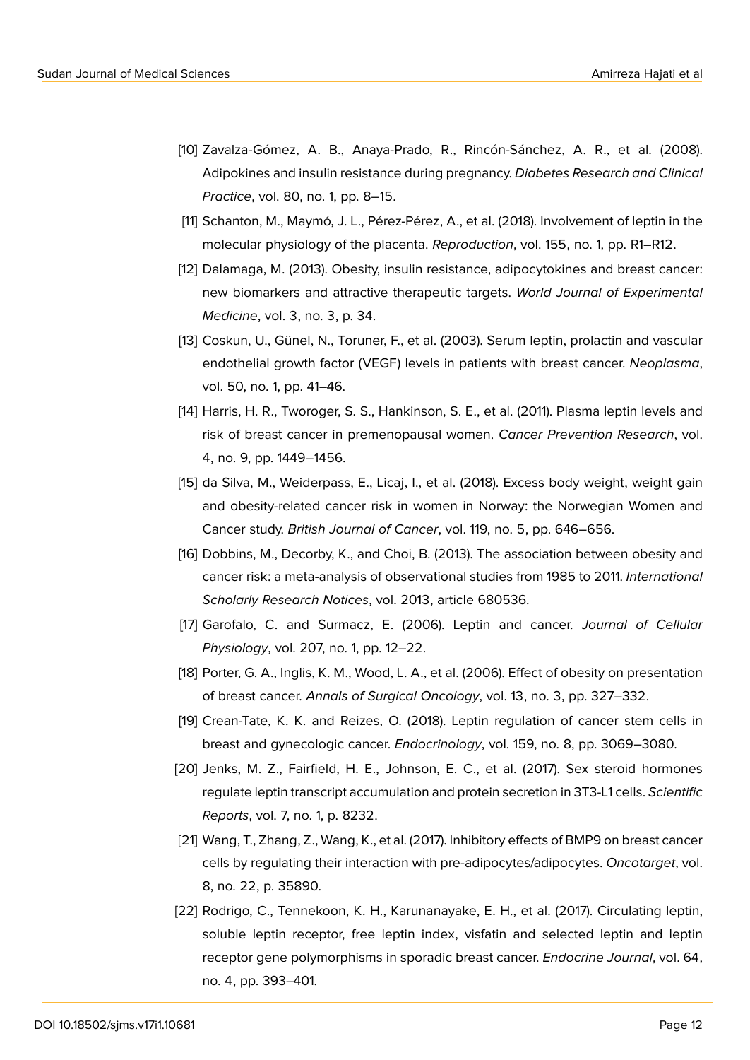- [10] Zavalza-Gómez, A. B., Anaya-Prado, R., Rincón-Sánchez, A. R., et al. (2008). Adipokines and insulin resistance during pregnancy. *Diabetes Research and Clinical Practice*, vol. 80, no. 1, pp. 8–15.
- [11] Schanton, M., Maymó, J. L., Pérez-Pérez, A., et al. (2018). Involvement of leptin in the molecular physiology of the placenta. *Reproduction*, vol. 155, no. 1, pp. R1–R12.
- [12] Dalamaga, M. (2013). Obesity, insulin resistance, adipocytokines and breast cancer: new biomarkers and attractive therapeutic targets. *World Journal of Experimental Medicine*, vol. 3, no. 3, p. 34.
- <span id="page-8-0"></span>[13] Coskun, U., Günel, N., Toruner, F., et al. (2003). Serum leptin, prolactin and vascular endothelial growth factor (VEGF) levels in patients with breast cancer. *Neoplasma*, vol. 50, no. 1, pp. 41–46.
- <span id="page-8-1"></span>[14] Harris, H. R., Tworoger, S. S., Hankinson, S. E., et al. (2011). Plasma leptin levels and risk of breast cancer in premenopausal women. *Cancer Prevention Research*, vol. 4, no. 9, pp. 1449–1456.
- <span id="page-8-2"></span>[15] da Silva, M., Weiderpass, E., Licaj, I., et al. (2018). Excess body weight, weight gain and obesity-related cancer risk in women in Norway: the Norwegian Women and Cancer study. *British Journal of Cancer*, vol. 119, no. 5, pp. 646–656.
- <span id="page-8-3"></span>[16] Dobbins, M., Decorby, K., and Choi, B. (2013). The association between obesity and cancer risk: a meta-analysis of observational studies from 1985 to 2011. *International Scholarly Research Notices*, vol. 2013, article 680536.
- <span id="page-8-4"></span>[17] Garofalo, C. and Surmacz, E. (2006). Leptin and cancer. *Journal of Cellular Physiology*, vol. 207, no. 1, pp. 12–22.
- <span id="page-8-5"></span>[18] Porter, G. A., Inglis, K. M., Wood, L. A., et al. (2006). Effect of obesity on presentation of breast cancer. *Annals of Surgical Oncology*, vol. 13, no. 3, pp. 327–332.
- <span id="page-8-6"></span>[19] Crean-Tate, K. K. and Reizes, O. (2018). Leptin regulation of cancer stem cells in breast and gynecologic cancer. *Endocrinology*, vol. 159, no. 8, pp. 3069–3080.
- <span id="page-8-7"></span>[20] Jenks, M. Z., Fairfield, H. E., Johnson, E. C., et al. (2017). Sex steroid hormones regulate leptin transcript accumulation and protein secretion in 3T3-L1 cells. *Scientific Reports*, vol. 7, no. 1, p. 8232.
- [21] Wang, T., Zhang, Z., Wang, K., et al. (2017). Inhibitory effects of BMP9 on breast cancer cells by regulating their interaction with pre-adipocytes/adipocytes. *Oncotarget*, vol. 8, no. 22, p. 35890.
- [22] Rodrigo, C., Tennekoon, K. H., Karunanayake, E. H., et al. (2017). Circulating leptin, soluble leptin receptor, free leptin index, visfatin and selected leptin and leptin receptor gene polymorphisms in sporadic breast cancer. *Endocrine Journal*, vol. 64, no. 4, pp. 393–401.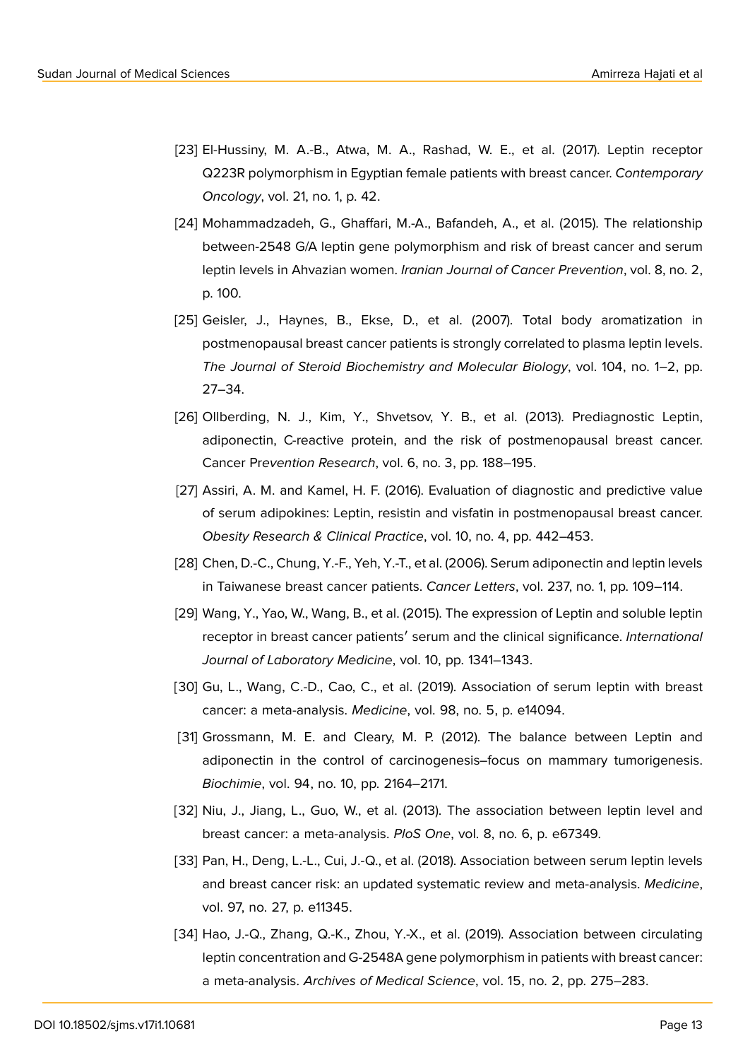- [23] El-Hussiny, M. A.-B., Atwa, M. A., Rashad, W. E., et al. (2017). Leptin receptor Q223R polymorphism in Egyptian female patients with breast cancer. *Contemporary Oncology*, vol. 21, no. 1, p. 42.
- [24] Mohammadzadeh, G., Ghaffari, M.-A., Bafandeh, A., et al. (2015). The relationship between-2548 G/A leptin gene polymorphism and risk of breast cancer and serum leptin levels in Ahvazian women. *Iranian Journal of Cancer Prevention*, vol. 8, no. 2, p. 100.
- [25] Geisler, J., Haynes, B., Ekse, D., et al. (2007). Total body aromatization in postmenopausal breast cancer patients is strongly correlated to plasma leptin levels. *The Journal of Steroid Biochemistry and Molecular Biology*, vol. 104, no. 1–2, pp. 27–34.
- [26] Ollberding, N. J., Kim, Y., Shvetsov, Y. B., et al. (2013). Prediagnostic Leptin, adiponectin, C-reactive protein, and the risk of postmenopausal breast cancer. Cancer Pr*evention Research*, vol. 6, no. 3, pp. 188–195.
- [27] Assiri, A. M. and Kamel, H. F. (2016). Evaluation of diagnostic and predictive value of serum adipokines: Leptin, resistin and visfatin in postmenopausal breast cancer. *Obesity Research & Clinical Practice*, vol. 10, no. 4, pp. 442–453.
- <span id="page-9-0"></span>[28] Chen, D.-C., Chung, Y.-F., Yeh, Y.-T., et al. (2006). Serum adiponectin and leptin levels in Taiwanese breast cancer patients. *Cancer Letters*, vol. 237, no. 1, pp. 109–114.
- <span id="page-9-1"></span>[29] Wang, Y., Yao, W., Wang, B., et al. (2015). The expression of Leptin and soluble leptin receptor in breast cancer patients′ serum and the clinical significance. *International Journal of Laboratory Medicine*, vol. 10, pp. 1341–1343.
- <span id="page-9-2"></span>[30] Gu, L., Wang, C.-D., Cao, C., et al. (2019). Association of serum leptin with breast cancer: a meta-analysis. *Medicine*, vol. 98, no. 5, p. e14094.
- <span id="page-9-3"></span>[31] Grossmann, M. E. and Cleary, M. P. (2012). The balance between Leptin and adiponectin in the control of carcinogenesis–focus on mammary tumorigenesis. *Biochimie*, vol. 94, no. 10, pp. 2164–2171.
- <span id="page-9-4"></span>[32] Niu, J., Jiang, L., Guo, W., et al. (2013). The association between leptin level and breast cancer: a meta-analysis. *PloS One*, vol. 8, no. 6, p. e67349.
- <span id="page-9-5"></span>[33] Pan, H., Deng, L.-L., Cui, J.-Q., et al. (2018). Association between serum leptin levels and breast cancer risk: an updated systematic review and meta-analysis. *Medicine*, vol. 97, no. 27, p. e11345.
- [34] Hao, J.-Q., Zhang, Q.-K., Zhou, Y.-X., et al. (2019). Association between circulating leptin concentration and G-2548A gene polymorphism in patients with breast cancer: a meta-analysis. *Archives of Medical Science*, vol. 15, no. 2, pp. 275–283.